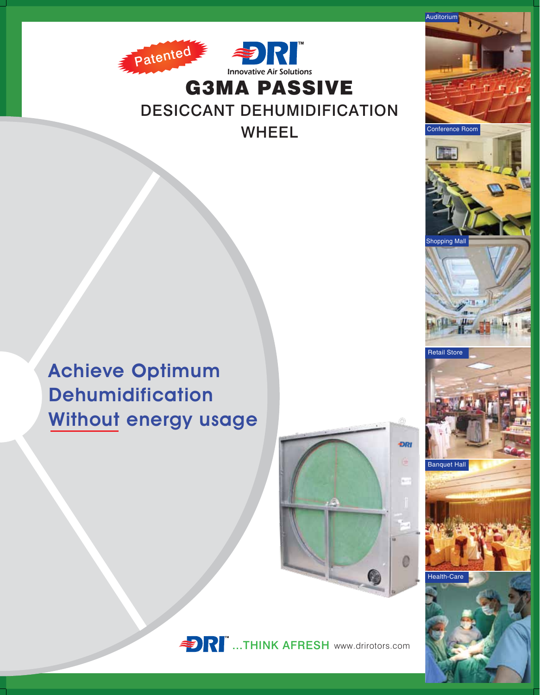

**DESICCANT DEHUMIDIFICATION WHEEL** 







Auditorium

Conference Room

**Shopping Mall** 

**Retail Store**